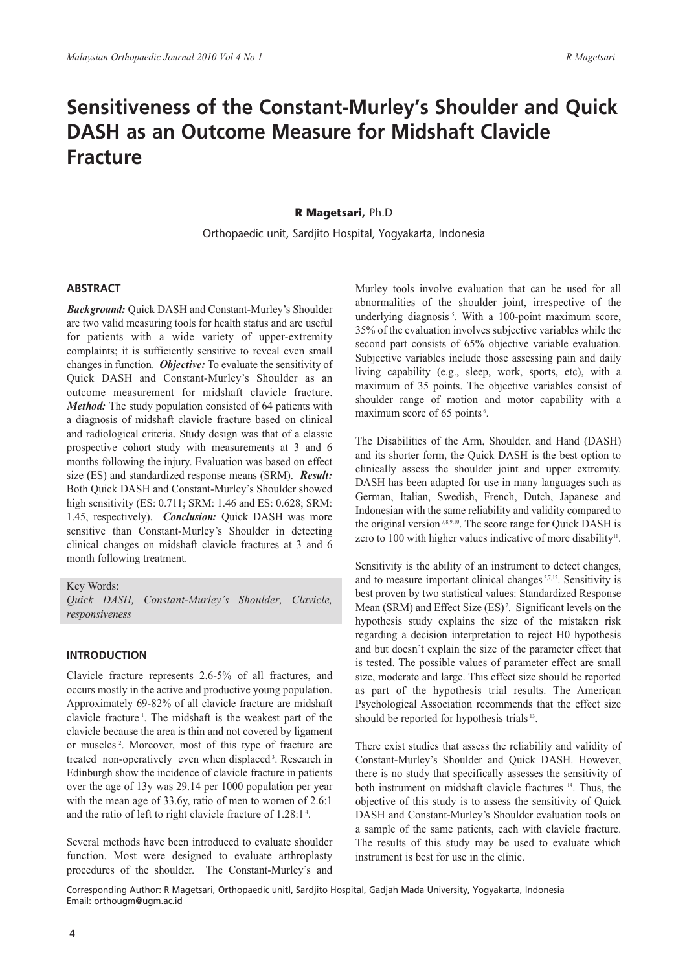# **Sensitiveness of the Constant-Murley's Shoulder and Quick DASH as an Outcome Measure for Midshaft Clavicle Fracture**

# **R Magetsari,** Ph.D

Orthopaedic unit, Sardjito Hospital, Yogyakarta, Indonesia

# **ABSTRACT**

*Background:* Quick DASH and Constant-Murley's Shoulder are two valid measuring tools for health status and are useful for patients with a wide variety of upper-extremity complaints; it is sufficiently sensitive to reveal even small changes in function. *Objective:* To evaluate the sensitivity of Quick DASH and Constant-Murley's Shoulder as an outcome measurement for midshaft clavicle fracture. *Method:* The study population consisted of 64 patients with a diagnosis of midshaft clavicle fracture based on clinical and radiological criteria. Study design was that of a classic prospective cohort study with measurements at 3 and 6 months following the injury. Evaluation was based on effect size (ES) and standardized response means (SRM). *Result:* Both Quick DASH and Constant-Murley's Shoulder showed high sensitivity (ES: 0.711; SRM: 1.46 and ES: 0.628; SRM: 1.45, respectively). *Conclusion:* Quick DASH was more sensitive than Constant-Murley's Shoulder in detecting clinical changes on midshaft clavicle fractures at 3 and 6 month following treatment.

Key Words:

*Quick DASH, Constant-Murley's Shoulder, Clavicle, responsiveness*

# **INTRODUCTION**

Clavicle fracture represents 2.6-5% of all fractures, and occurs mostly in the active and productive young population. Approximately 69-82% of all clavicle fracture are midshaft clavicle fracture<sup>1</sup>. The midshaft is the weakest part of the clavicle because the area is thin and not covered by ligament or muscles<sup>2</sup>. Moreover, most of this type of fracture are treated non-operatively even when displaced<sup>3</sup>. Research in Edinburgh show the incidence of clavicle fracture in patients over the age of 13y was 29.14 per 1000 population per year with the mean age of 33.6y, ratio of men to women of 2.6:1 and the ratio of left to right clavicle fracture of 1.28:1<sup>4</sup>.

Several methods have been introduced to evaluate shoulder function. Most were designed to evaluate arthroplasty procedures of the shoulder. The Constant-Murley's and

Murley tools involve evaluation that can be used for all abnormalities of the shoulder joint, irrespective of the underlying diagnosis<sup>5</sup>. With a 100-point maximum score, 35% of the evaluation involves subjective variables while the second part consists of 65% objective variable evaluation. Subjective variables include those assessing pain and daily living capability (e.g., sleep, work, sports, etc), with a maximum of 35 points. The objective variables consist of shoulder range of motion and motor capability with a maximum score of 65 points<sup>6</sup>.

The Disabilities of the Arm, Shoulder, and Hand (DASH) and its shorter form, the Quick DASH is the best option to clinically assess the shoulder joint and upper extremity. DASH has been adapted for use in many languages such as German, Italian, Swedish, French, Dutch, Japanese and Indonesian with the same reliability and validity compared to the original version<sup>7,8,9,10</sup>. The score range for Quick DASH is zero to 100 with higher values indicative of more disability<sup>11</sup>.

Sensitivity is the ability of an instrument to detect changes, and to measure important clinical changes 3,7,12. Sensitivity is best proven by two statistical values: Standardized Response Mean (SRM) and Effect Size (ES)<sup>7</sup>. Significant levels on the hypothesis study explains the size of the mistaken risk regarding a decision interpretation to reject H0 hypothesis and but doesn't explain the size of the parameter effect that is tested. The possible values of parameter effect are small size, moderate and large. This effect size should be reported as part of the hypothesis trial results. The American Psychological Association recommends that the effect size should be reported for hypothesis trials <sup>13</sup>.

There exist studies that assess the reliability and validity of Constant-Murley's Shoulder and Quick DASH. However, there is no study that specifically assesses the sensitivity of both instrument on midshaft clavicle fractures 14. Thus, the objective of this study is to assess the sensitivity of Quick DASH and Constant-Murley's Shoulder evaluation tools on a sample of the same patients, each with clavicle fracture. The results of this study may be used to evaluate which instrument is best for use in the clinic.

Corresponding Author: R Magetsari, Orthopaedic unitl, Sardjito Hospital, Gadjah Mada University, Yogyakarta, Indonesia Email: orthougm@ugm.ac.id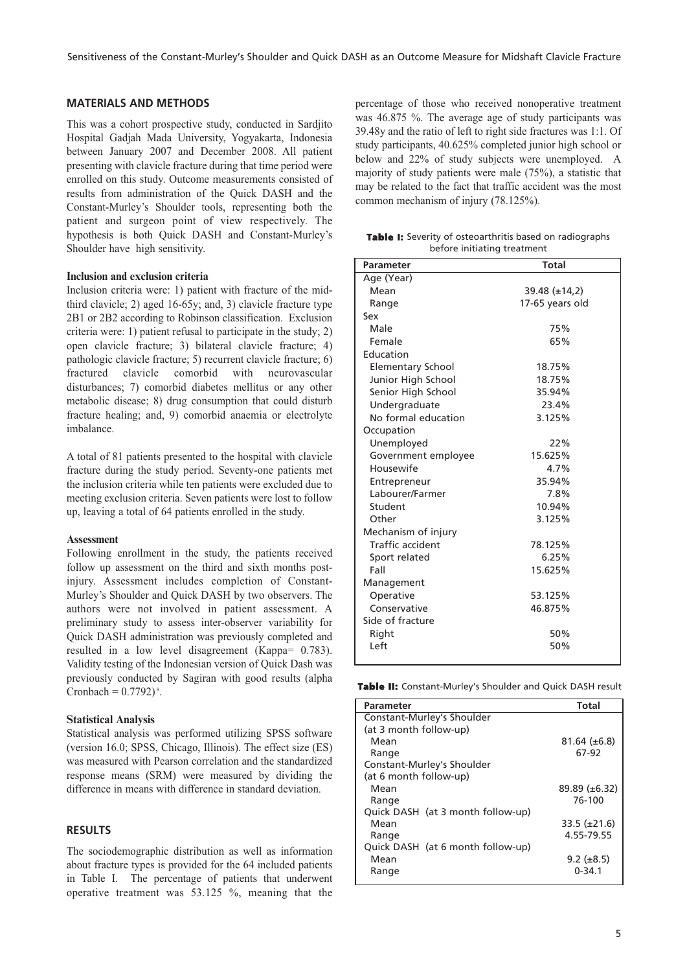## **MATERIALS AND METHODS**

This was a cohort prospective study, conducted in Sardjito Hospital Gadjah Mada University, Yogyakarta, Indonesia between January 2007 and December 2008. All patient presenting with clavicle fracture during that time period were enrolled on this study. Outcome measurements consisted of results from administration of the Quick DASH and the Constant-Murley's Shoulder tools, representing both the patient and surgeon point of view respectively. The hypothesis is both Quick DASH and Constant-Murley's Shoulder have high sensitivity.

### **Inclusion and exclusion criteria**

Inclusion criteria were: 1) patient with fracture of the midthird clavicle; 2) aged 16-65y; and, 3) clavicle fracture type 2B1 or 2B2 according to Robinson classification. Exclusion criteria were: 1) patient refusal to participate in the study; 2) open clavicle fracture; 3) bilateral clavicle fracture; 4) pathologic clavicle fracture; 5) recurrent clavicle fracture; 6) fractured clavicle comorbid with neurovascular disturbances; 7) comorbid diabetes mellitus or any other metabolic disease; 8) drug consumption that could disturb fracture healing; and, 9) comorbid anaemia or electrolyte imbalance.

A total of 81 patients presented to the hospital with clavicle fracture during the study period. Seventy-one patients met the inclusion criteria while ten patients were excluded due to meeting exclusion criteria. Seven patients were lost to follow up, leaving a total of 64 patients enrolled in the study.

#### **Assessment**

Following enrollment in the study, the patients received follow up assessment on the third and sixth months postinjury. Assessment includes completion of Constant-Murley's Shoulder and Quick DASH by two observers. The authors were not involved in patient assessment. A preliminary study to assess inter-observer variability for Quick DASH administration was previously completed and resulted in a low level disagreement (Kappa= 0.783). Validity testing of the Indonesian version of Quick Dash was previously conducted by Sagiran with good results (alpha Cronbach =  $0.7792$ <sup>8</sup>.

## **Statistical Analysis**

Statistical analysis was performed utilizing SPSS software (version 16.0; SPSS, Chicago, Illinois). The effect size (ES) was measured with Pearson correlation and the standardized response means (SRM) were measured by dividing the difference in means with difference in standard deviation.

# **RESULTS**

The sociodemographic distribution as well as information about fracture types is provided for the 64 included patients in Table I. The percentage of patients that underwent operative treatment was 53.125 %, meaning that the

percentage of those who received nonoperative treatment was 46.875 %. The average age of study participants was 39.48y and the ratio of left to right side fractures was 1:1. Of study participants, 40.625% completed junior high school or below and 22% of study subjects were unemployed. A majority of study patients were male (75%), a statistic that may be related to the fact that traffic accident was the most common mechanism of injury (78.125%).

|  | <b>Table I:</b> Severity of osteoarthritis based on radiographs |
|--|-----------------------------------------------------------------|
|  | before initiating treatment                                     |

| <b>Parameter</b>        | <b>Total</b>         |  |  |  |  |  |
|-------------------------|----------------------|--|--|--|--|--|
| Age (Year)              |                      |  |  |  |  |  |
| Mean                    | $39.48 \ (\pm 14.2)$ |  |  |  |  |  |
| Range                   | 17-65 years old      |  |  |  |  |  |
| Sex                     |                      |  |  |  |  |  |
| Male                    | 75%                  |  |  |  |  |  |
| Female                  | 65%                  |  |  |  |  |  |
| Education               |                      |  |  |  |  |  |
| Elementary School       | 18.75%               |  |  |  |  |  |
| Junior High School      | 18.75%               |  |  |  |  |  |
| Senior High School      | 35.94%               |  |  |  |  |  |
| Undergraduate           | 23.4%                |  |  |  |  |  |
| No formal education     | 3.125%               |  |  |  |  |  |
| Occupation              |                      |  |  |  |  |  |
| Unemployed              | 22%                  |  |  |  |  |  |
| Government employee     | 15.625%              |  |  |  |  |  |
| Housewife               | 4.7%                 |  |  |  |  |  |
| Entrepreneur            | 35.94%               |  |  |  |  |  |
| Labourer/Farmer         | 7.8%                 |  |  |  |  |  |
| Student                 | 10.94%               |  |  |  |  |  |
| Other                   | 3.125%               |  |  |  |  |  |
| Mechanism of injury     |                      |  |  |  |  |  |
| <b>Traffic accident</b> | 78.125%              |  |  |  |  |  |
| Sport related           | 6.25%                |  |  |  |  |  |
| Fall                    | 15.625%              |  |  |  |  |  |
| Management              |                      |  |  |  |  |  |
| Operative               | 53.125%              |  |  |  |  |  |
| Conservative            | 46.875%              |  |  |  |  |  |
| Side of fracture        |                      |  |  |  |  |  |
| Right                   | 50%                  |  |  |  |  |  |
| Left                    | 50%                  |  |  |  |  |  |

**Table II:** Constant-Murley's Shoulder and Quick DASH result

| Parameter                         | Total                |  |
|-----------------------------------|----------------------|--|
| Constant-Murley's Shoulder        |                      |  |
| (at 3 month follow-up)            |                      |  |
| Mean                              | $81.64 \ (\pm 6.8)$  |  |
| Range                             | 67-92                |  |
| Constant-Murley's Shoulder        |                      |  |
| (at 6 month follow-up)            |                      |  |
| Mean                              | $89.89 \ (\pm 6.32)$ |  |
| Range                             | 76-100               |  |
| Quick DASH (at 3 month follow-up) |                      |  |
| Mean                              | $33.5 \ (\pm 21.6)$  |  |
| Range                             | 4.55-79.55           |  |
| Quick DASH (at 6 month follow-up) |                      |  |
| Mean                              | $9.2 \ (\pm 8.5)$    |  |
| Range                             | $0 - 34.1$           |  |
|                                   |                      |  |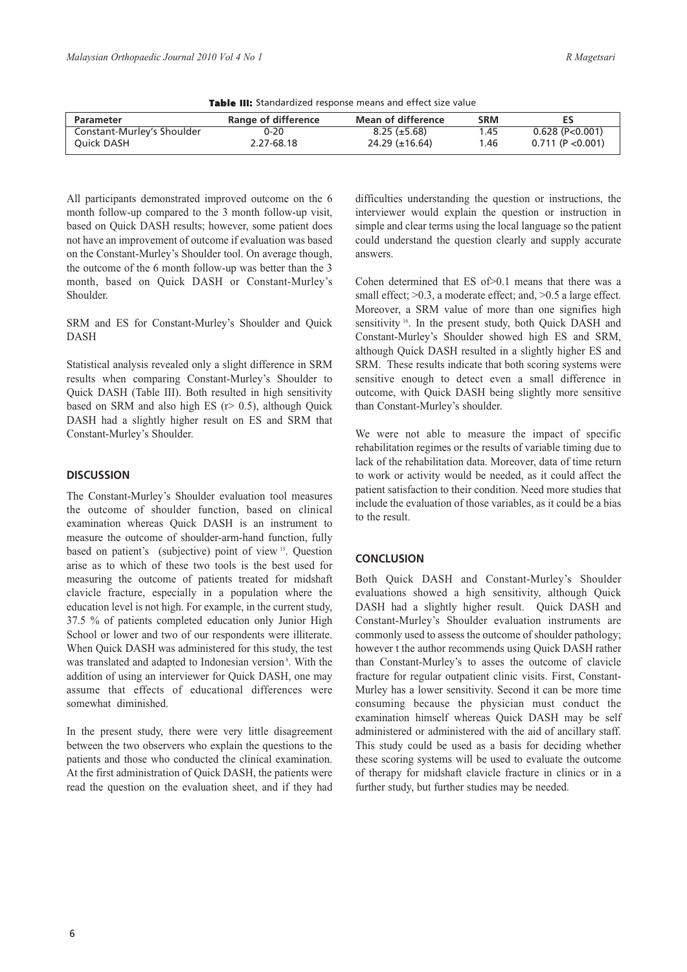| <b>EMERGE THE STATION OFFICE TOSPOTISC THOMAS GITGE CITECY SILE FORD</b> |                     |                       |            |                   |  |  |  |  |
|--------------------------------------------------------------------------|---------------------|-----------------------|------------|-------------------|--|--|--|--|
| <b>Parameter</b>                                                         | Range of difference | Mean of difference    | <b>SRM</b> | ES                |  |  |  |  |
| Constant-Murley's Shoulder                                               | $0 - 20$            | $8.25 \ (\pm 5.68)$   | 1.45       | $0.628$ (P<0.001) |  |  |  |  |
| Ouick DASH                                                               | 2.27-68.18          | $24.29 \ (\pm 16.64)$ | 1.46       | 0.711(P<0.001)    |  |  |  |  |

**Table III:** Standardized response means and effect size value

All participants demonstrated improved outcome on the 6 month follow-up compared to the 3 month follow-up visit, based on Quick DASH results; however, some patient does not have an improvement of outcome if evaluation was based on the Constant-Murley's Shoulder tool. On average though, the outcome of the 6 month follow-up was better than the 3 month, based on Quick DASH or Constant-Murley's Shoulder.

SRM and ES for Constant-Murley's Shoulder and Quick DASH

Statistical analysis revealed only a slight difference in SRM results when comparing Constant-Murley's Shoulder to Quick DASH (Table III). Both resulted in high sensitivity based on SRM and also high ES ( $r$  > 0.5), although Quick DASH had a slightly higher result on ES and SRM that Constant-Murley's Shoulder.

## **DISCUSSION**

The Constant-Murley's Shoulder evaluation tool measures the outcome of shoulder function, based on clinical examination whereas Quick DASH is an instrument to measure the outcome of shoulder-arm-hand function, fully based on patient's (subjective) point of view <sup>15</sup>. Question arise as to which of these two tools is the best used for measuring the outcome of patients treated for midshaft clavicle fracture, especially in a population where the education level is not high. For example, in the current study, 37.5 % of patients completed education only Junior High School or lower and two of our respondents were illiterate. When Quick DASH was administered for this study, the test was translated and adapted to Indonesian version<sup>8</sup>. With the addition of using an interviewer for Quick DASH, one may assume that effects of educational differences were somewhat diminished.

In the present study, there were very little disagreement between the two observers who explain the questions to the patients and those who conducted the clinical examination. At the first administration of Quick DASH, the patients were read the question on the evaluation sheet, and if they had difficulties understanding the question or instructions, the interviewer would explain the question or instruction in simple and clear terms using the local language so the patient could understand the question clearly and supply accurate answers.

Cohen determined that ES of>0.1 means that there was a small effect;  $>0.3$ , a moderate effect; and,  $>0.5$  a large effect. Moreover, a SRM value of more than one signifies high sensitivity <sup>16</sup>. In the present study, both Quick DASH and Constant-Murley's Shoulder showed high ES and SRM, although Quick DASH resulted in a slightly higher ES and SRM. These results indicate that both scoring systems were sensitive enough to detect even a small difference in outcome, with Quick DASH being slightly more sensitive than Constant-Murley's shoulder.

We were not able to measure the impact of specific rehabilitation regimes or the results of variable timing due to lack of the rehabilitation data. Moreover, data of time return to work or activity would be needed, as it could affect the patient satisfaction to their condition. Need more studies that include the evaluation of those variables, as it could be a bias to the result.

# **CONCLUSION**

Both Quick DASH and Constant-Murley's Shoulder evaluations showed a high sensitivity, although Quick DASH had a slightly higher result. Quick DASH and Constant-Murley's Shoulder evaluation instruments are commonly used to assess the outcome of shoulder pathology; however t the author recommends using Quick DASH rather than Constant-Murley's to asses the outcome of clavicle fracture for regular outpatient clinic visits. First, Constant-Murley has a lower sensitivity. Second it can be more time consuming because the physician must conduct the examination himself whereas Quick DASH may be self administered or administered with the aid of ancillary staff. This study could be used as a basis for deciding whether these scoring systems will be used to evaluate the outcome of therapy for midshaft clavicle fracture in clinics or in a further study, but further studies may be needed.